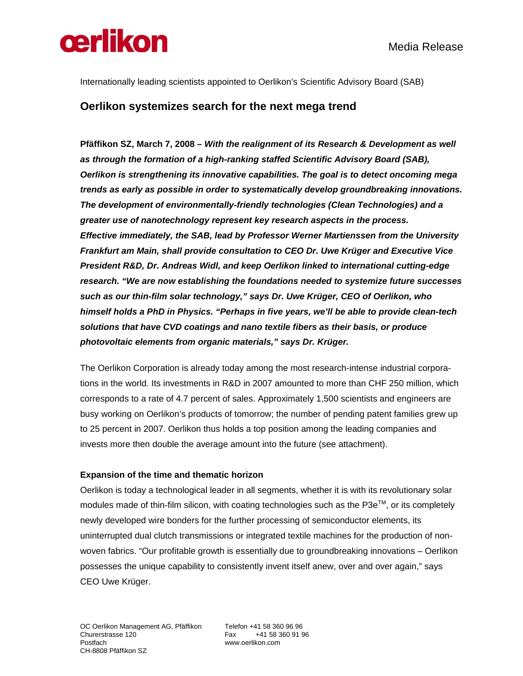

Internationally leading scientists appointed to Oerlikon's Scientific Advisory Board (SAB)

## **Oerlikon systemizes search for the next mega trend**

**Pfäffikon SZ, March 7, 2008** *– With the realignment of its Research & Development as well as through the formation of a high-ranking staffed Scientific Advisory Board (SAB), Oerlikon is strengthening its innovative capabilities. The goal is to detect oncoming mega trends as early as possible in order to systematically develop groundbreaking innovations. The development of environmentally-friendly technologies (Clean Technologies) and a greater use of nanotechnology represent key research aspects in the process. Effective immediately, the SAB, lead by Professor Werner Martienssen from the University Frankfurt am Main, shall provide consultation to CEO Dr. Uwe Krüger and Executive Vice President R&D, Dr. Andreas Widl, and keep Oerlikon linked to international cutting-edge research. "We are now establishing the foundations needed to systemize future successes such as our thin-film solar technology," says Dr. Uwe Krüger, CEO of Oerlikon, who himself holds a PhD in Physics. "Perhaps in five years, we'll be able to provide clean-tech solutions that have CVD coatings and nano textile fibers as their basis, or produce photovoltaic elements from organic materials," says Dr. Krüger.* 

The Oerlikon Corporation is already today among the most research-intense industrial corporations in the world. Its investments in R&D in 2007 amounted to more than CHF 250 million, which corresponds to a rate of 4.7 percent of sales. Approximately 1,500 scientists and engineers are busy working on Oerlikon's products of tomorrow; the number of pending patent families grew up to 25 percent in 2007. Oerlikon thus holds a top position among the leading companies and invests more then double the average amount into the future (see attachment).

### **Expansion of the time and thematic horizon**

Oerlikon is today a technological leader in all segments, whether it is with its revolutionary solar modules made of thin-film silicon, with coating technologies such as the  $P3e^{TM}$ , or its completely newly developed wire bonders for the further processing of semiconductor elements, its uninterrupted dual clutch transmissions or integrated textile machines for the production of nonwoven fabrics. "Our profitable growth is essentially due to groundbreaking innovations – Oerlikon possesses the unique capability to consistently invent itself anew, over and over again," says CEO Uwe Krüger.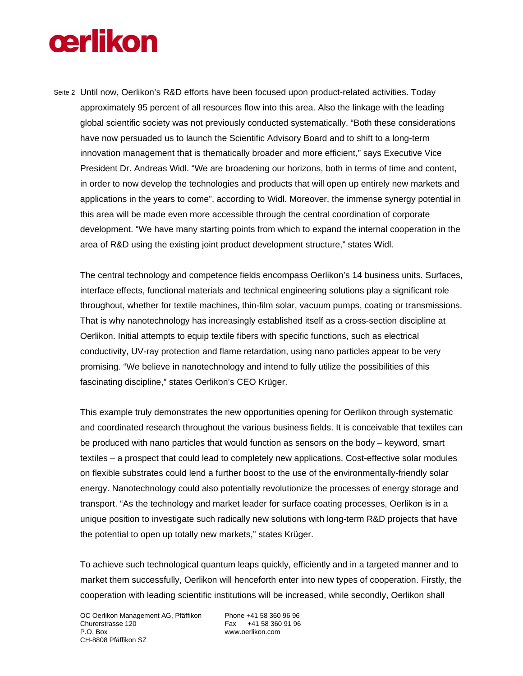# **œrlikon**

Seite 2 Until now, Oerlikon's R&D efforts have been focused upon product-related activities. Today approximately 95 percent of all resources flow into this area. Also the linkage with the leading global scientific society was not previously conducted systematically. "Both these considerations have now persuaded us to launch the Scientific Advisory Board and to shift to a long-term innovation management that is thematically broader and more efficient," says Executive Vice President Dr. Andreas Widl. "We are broadening our horizons, both in terms of time and content, in order to now develop the technologies and products that will open up entirely new markets and applications in the years to come", according to Widl. Moreover, the immense synergy potential in this area will be made even more accessible through the central coordination of corporate development. "We have many starting points from which to expand the internal cooperation in the area of R&D using the existing joint product development structure," states Widl.

The central technology and competence fields encompass Oerlikon's 14 business units. Surfaces, interface effects, functional materials and technical engineering solutions play a significant role throughout, whether for textile machines, thin-film solar, vacuum pumps, coating or transmissions. That is why nanotechnology has increasingly established itself as a cross-section discipline at Oerlikon. Initial attempts to equip textile fibers with specific functions, such as electrical conductivity, UV-ray protection and flame retardation, using nano particles appear to be very promising. "We believe in nanotechnology and intend to fully utilize the possibilities of this fascinating discipline," states Oerlikon's CEO Krüger.

This example truly demonstrates the new opportunities opening for Oerlikon through systematic and coordinated research throughout the various business fields. It is conceivable that textiles can be produced with nano particles that would function as sensors on the body – keyword, smart textiles – a prospect that could lead to completely new applications. Cost-effective solar modules on flexible substrates could lend a further boost to the use of the environmentally-friendly solar energy. Nanotechnology could also potentially revolutionize the processes of energy storage and transport. "As the technology and market leader for surface coating processes, Oerlikon is in a unique position to investigate such radically new solutions with long-term R&D projects that have the potential to open up totally new markets," states Krüger.

To achieve such technological quantum leaps quickly, efficiently and in a targeted manner and to market them successfully, Oerlikon will henceforth enter into new types of cooperation. Firstly, the cooperation with leading scientific institutions will be increased, while secondly, Oerlikon shall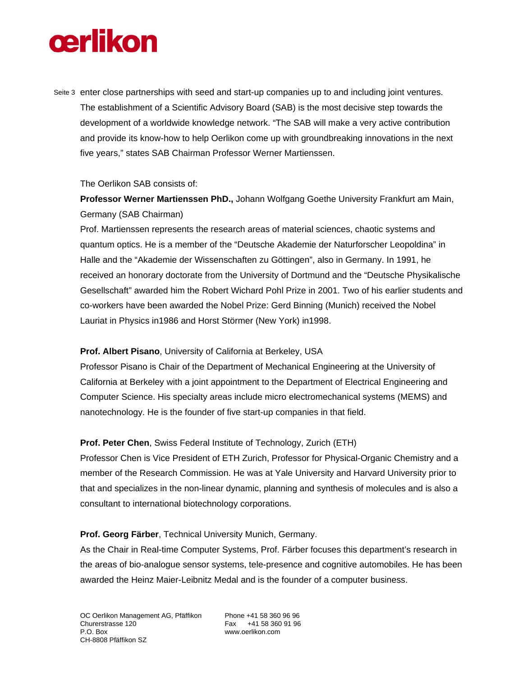# **œrlikon**

Seite 3 enter close partnerships with seed and start-up companies up to and including joint ventures. The establishment of a Scientific Advisory Board (SAB) is the most decisive step towards the development of a worldwide knowledge network. "The SAB will make a very active contribution and provide its know-how to help Oerlikon come up with groundbreaking innovations in the next five years," states SAB Chairman Professor Werner Martienssen.

### The Oerlikon SAB consists of:

**Professor Werner Martienssen PhD.,** Johann Wolfgang Goethe University Frankfurt am Main, Germany (SAB Chairman)

Prof. Martienssen represents the research areas of material sciences, chaotic systems and quantum optics. He is a member of the "Deutsche Akademie der Naturforscher Leopoldina" in Halle and the "Akademie der Wissenschaften zu Göttingen", also in Germany. In 1991, he received an honorary doctorate from the University of Dortmund and the "Deutsche Physikalische Gesellschaft" awarded him the Robert Wichard Pohl Prize in 2001. Two of his earlier students and co-workers have been awarded the Nobel Prize: Gerd Binning (Munich) received the Nobel Lauriat in Physics in1986 and Horst Störmer (New York) in1998.

## **Prof. Albert Pisano**, University of California at Berkeley, USA

Professor Pisano is Chair of the Department of Mechanical Engineering at the University of California at Berkeley with a joint appointment to the Department of Electrical Engineering and Computer Science. His specialty areas include micro electromechanical systems (MEMS) and nanotechnology. He is the founder of five start-up companies in that field.

## **Prof. Peter Chen**, Swiss Federal Institute of Technology, Zurich (ETH)

Professor Chen is Vice President of ETH Zurich, Professor for Physical-Organic Chemistry and a member of the Research Commission. He was at Yale University and Harvard University prior to that and specializes in the non-linear dynamic, planning and synthesis of molecules and is also a consultant to international biotechnology corporations.

## **Prof. Georg Färber**, Technical University Munich, Germany.

As the Chair in Real-time Computer Systems, Prof. Färber focuses this department's research in the areas of bio-analogue sensor systems, tele-presence and cognitive automobiles. He has been awarded the Heinz Maier-Leibnitz Medal and is the founder of a computer business.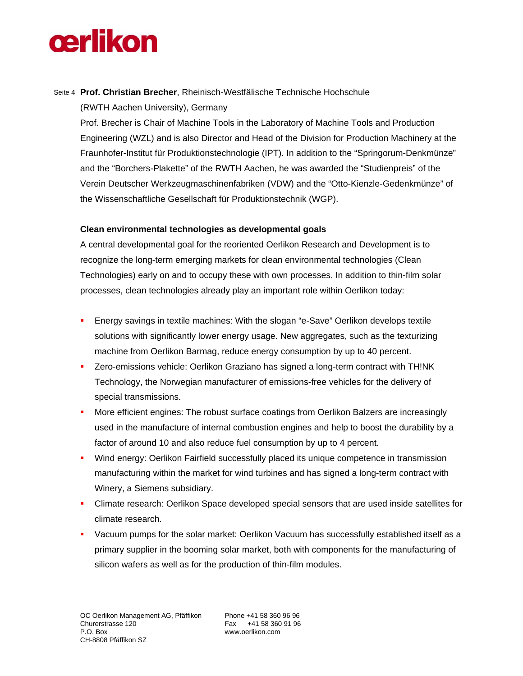# **cerlikon**

## Seite 4 **Prof. Christian Brecher**, Rheinisch-Westfälische Technische Hochschule (RWTH Aachen University), Germany

Prof. Brecher is Chair of Machine Tools in the Laboratory of Machine Tools and Production Engineering (WZL) and is also Director and Head of the Division for Production Machinery at the Fraunhofer-Institut für Produktionstechnologie (IPT). In addition to the "Springorum-Denkmünze" and the "Borchers-Plakette" of the RWTH Aachen, he was awarded the "Studienpreis" of the Verein Deutscher Werkzeugmaschinenfabriken (VDW) and the "Otto-Kienzle-Gedenkmünze" of the Wissenschaftliche Gesellschaft für Produktionstechnik (WGP).

## **Clean environmental technologies as developmental goals**

A central developmental goal for the reoriented Oerlikon Research and Development is to recognize the long-term emerging markets for clean environmental technologies (Clean Technologies) early on and to occupy these with own processes. In addition to thin-film solar processes, clean technologies already play an important role within Oerlikon today:

- Energy savings in textile machines: With the slogan "e-Save" Oerlikon develops textile solutions with significantly lower energy usage. New aggregates, such as the texturizing machine from Oerlikon Barmag, reduce energy consumption by up to 40 percent.
- Zero-emissions vehicle: Oerlikon Graziano has signed a long-term contract with TH!NK Technology, the Norwegian manufacturer of emissions-free vehicles for the delivery of special transmissions.
- More efficient engines: The robust surface coatings from Oerlikon Balzers are increasingly used in the manufacture of internal combustion engines and help to boost the durability by a factor of around 10 and also reduce fuel consumption by up to 4 percent.
- Wind energy: Oerlikon Fairfield successfully placed its unique competence in transmission manufacturing within the market for wind turbines and has signed a long-term contract with Winery, a Siemens subsidiary.
- Climate research: Oerlikon Space developed special sensors that are used inside satellites for climate research.
- Vacuum pumps for the solar market: Oerlikon Vacuum has successfully established itself as a primary supplier in the booming solar market, both with components for the manufacturing of silicon wafers as well as for the production of thin-film modules.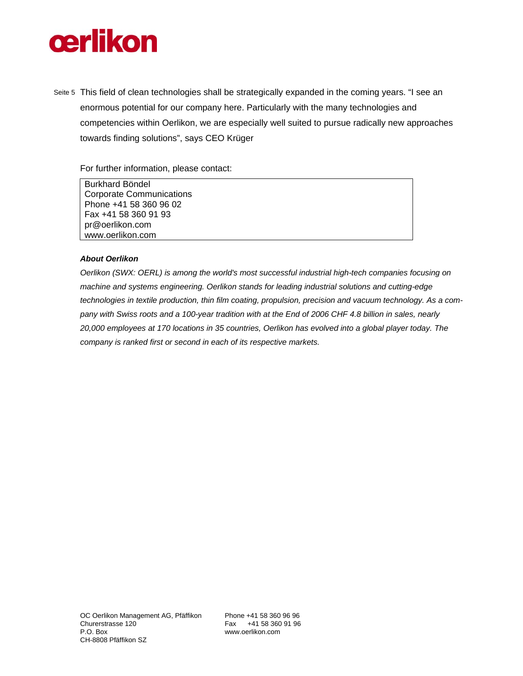

Seite 5 This field of clean technologies shall be strategically expanded in the coming years. "I see an enormous potential for our company here. Particularly with the many technologies and competencies within Oerlikon, we are especially well suited to pursue radically new approaches towards finding solutions", says CEO Krüger

For further information, please contact:

Burkhard Böndel Corporate Communications Phone +41 58 360 96 02 Fax +41 58 360 91 93 pr@oerlikon.com www.oerlikon.com

#### *About Oerlikon*

*Oerlikon (SWX: OERL) is among the world's most successful industrial high-tech companies focusing on machine and systems engineering. Oerlikon stands for leading industrial solutions and cutting-edge technologies in textile production, thin film coating, propulsion, precision and vacuum technology. As a company with Swiss roots and a 100-year tradition with at the End of 2006 CHF 4.8 billion in sales, nearly 20,000 employees at 170 locations in 35 countries, Oerlikon has evolved into a global player today. The company is ranked first or second in each of its respective markets.*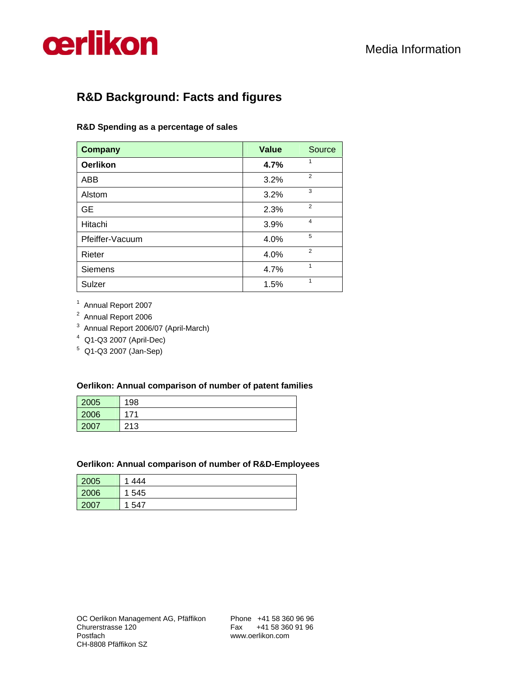

## **R&D Background: Facts and figures**

## **R&D Spending as a percentage of sales**

| <b>Company</b>  | <b>Value</b> | Source         |
|-----------------|--------------|----------------|
| <b>Oerlikon</b> | 4.7%         | 1              |
| <b>ABB</b>      | 3.2%         | $\overline{2}$ |
| Alstom          | 3.2%         | 3              |
| <b>GE</b>       | 2.3%         | $\overline{2}$ |
| Hitachi         | 3.9%         | $\overline{4}$ |
| Pfeiffer-Vacuum | 4.0%         | 5              |
| Rieter          | 4.0%         | $\overline{2}$ |
| <b>Siemens</b>  | 4.7%         | 1              |
| Sulzer          | 1.5%         | 1              |

<sup>1</sup> Annual Report 2007

<sup>2</sup> Annual Report 2006

3 Annual Report 2006/07 (April-March)

4 Q1-Q3 2007 (April-Dec)

5 Q1-Q3 2007 (Jan-Sep)

### **Oerlikon: Annual comparison of number of patent families**

| 2005 | 198        |
|------|------------|
| 2006 | 171        |
| 2007 | 213<br>ں ا |

#### **Oerlikon: Annual comparison of number of R&D-Employees**

| 2005 | 444<br>и |
|------|----------|
| 2006 | 545<br>4 |
| 2007 | 547<br>и |